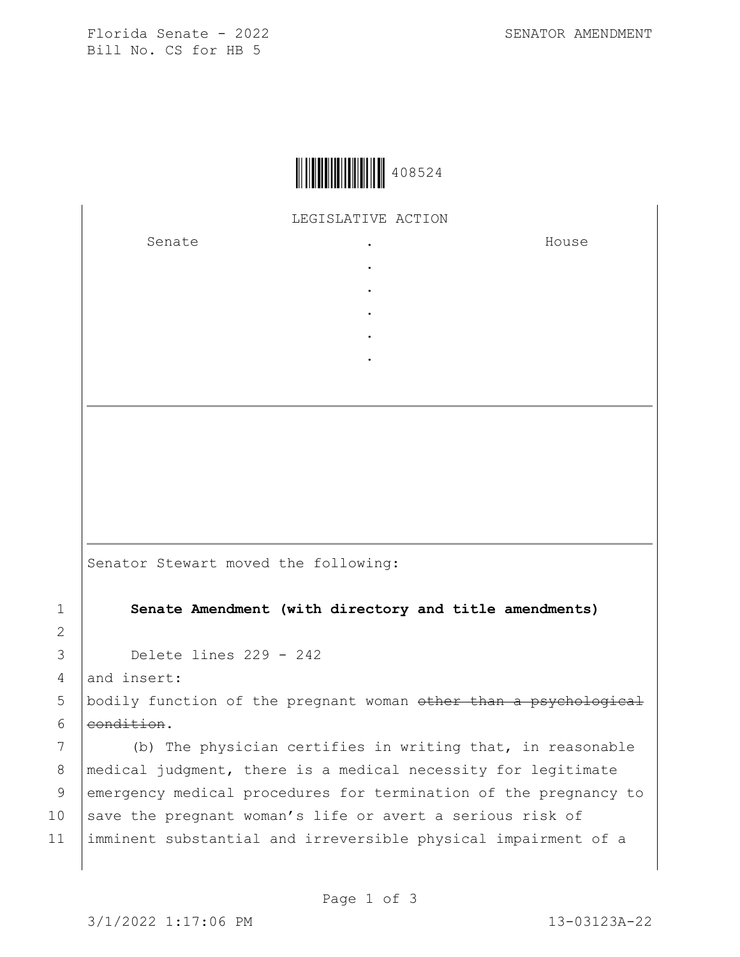Florida Senate - 2022 SENATOR AMENDMENT Bill No. CS for HB 5



## LEGISLATIVE ACTION

. . . . .

Senate the senate of the senate of the senate of  $\cdot$ 

House

Senator Stewart moved the following:

1 **Senate Amendment (with directory and title amendments)**

3 Delete lines 229 - 242

 $4$  and insert:

2

5 | bodily function of the pregnant woman other than a psychological 6 eondition.

7 (b) The physician certifies in writing that, in reasonable 8 | medical judgment, there is a medical necessity for legitimate 9 emergency medical procedures for termination of the pregnancy to 10 save the pregnant woman's life or avert a serious risk of 11 imminent substantial and irreversible physical impairment of a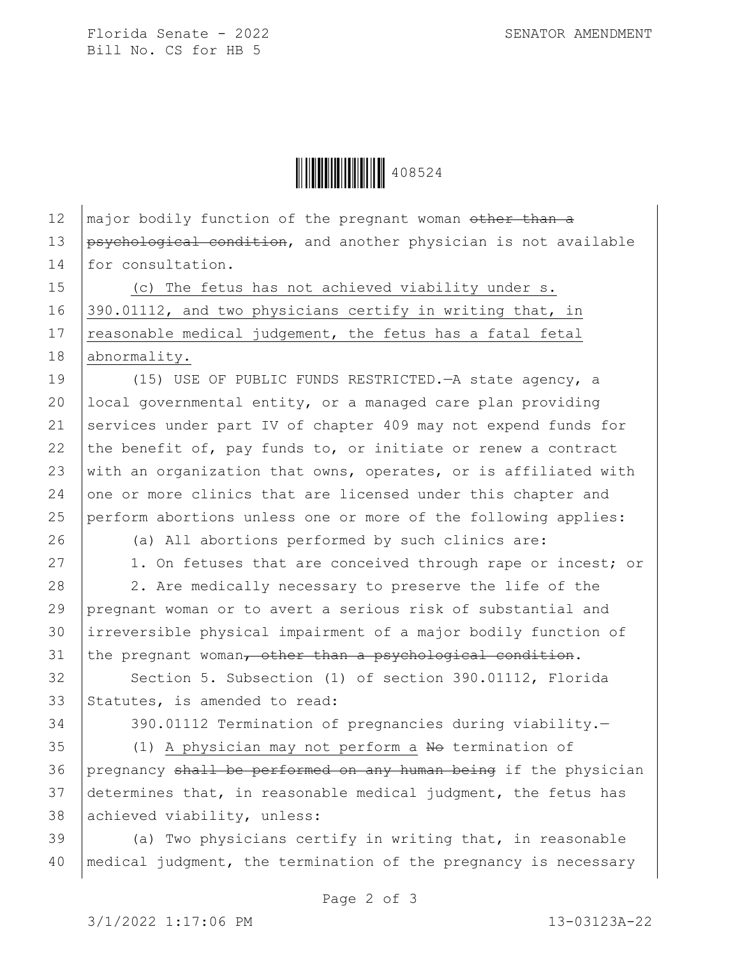Florida Senate - 2022 SENATOR AMENDMENT Bill No. CS for HB 5

Ì408524'Î<sup>408524</sup>

12  $\mid$  major bodily function of the pregnant woman other than a 13 psychological condition, and another physician is not available 14 for consultation. 15 (c) The fetus has not achieved viability under s. 16 390.01112, and two physicians certify in writing that, in 17  $\vert$  reasonable medical judgement, the fetus has a fatal fetal 18 | abnormality. 19 (15) USE OF PUBLIC FUNDS RESTRICTED. A state agency, a 20 local governmental entity, or a managed care plan providing 21 services under part IV of chapter 409 may not expend funds for 22 the benefit of, pay funds to, or initiate or renew a contract 23 with an organization that owns, operates, or is affiliated with 24 one or more clinics that are licensed under this chapter and 25 perform abortions unless one or more of the following applies: 26 (a) All abortions performed by such clinics are: 27 | 1. On fetuses that are conceived through rape or incest; or 28 2. Are medically necessary to preserve the life of the 29 pregnant woman or to avert a serious risk of substantial and 30 irreversible physical impairment of a major bodily function of  $31$  the pregnant woman, other than a psychological condition. 32 Section 5. Subsection (1) of section 390.01112, Florida 33 Statutes, is amended to read: 34 390.01112 Termination of pregnancies during viability.— 35 (1) A physician may not perform a No termination of 36 pregnancy shall be performed on any human being if the physician 37 determines that, in reasonable medical judgment, the fetus has 38 achieved viability, unless:

 $39$  (a) Two physicians certify in writing that, in reasonable 40 | medical judgment, the termination of the pregnancy is necessary